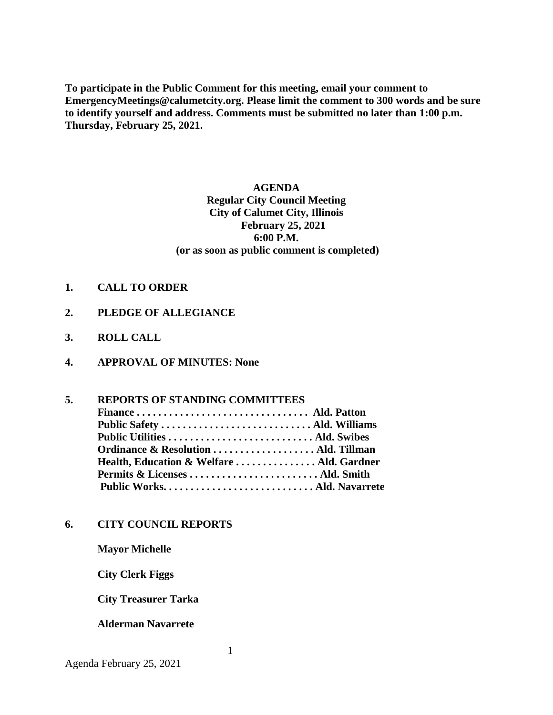**To participate in the Public Comment for this meeting, email your comment to EmergencyMeetings@calumetcity.org. Please limit the comment to 300 words and be sure to identify yourself and address. Comments must be submitted no later than 1:00 p.m. Thursday, February 25, 2021.**

## **AGENDA Regular City Council Meeting City of Calumet City, Illinois February 25, 2021 6:00 P.M. (or as soon as public comment is completed)**

- **1. CALL TO ORDER**
- **2. PLEDGE OF ALLEGIANCE**
- **3. ROLL CALL**
- **4. APPROVAL OF MINUTES: None**

#### **5. REPORTS OF STANDING COMMITTEES**

| Ordinance & Resolution  Ald. Tillman      |  |
|-------------------------------------------|--|
| Health, Education & Welfare  Ald. Gardner |  |
|                                           |  |
|                                           |  |
|                                           |  |

#### **6. CITY COUNCIL REPORTS**

**Mayor Michelle**

**City Clerk Figgs**

 **City Treasurer Tarka**

#### **Alderman Navarrete**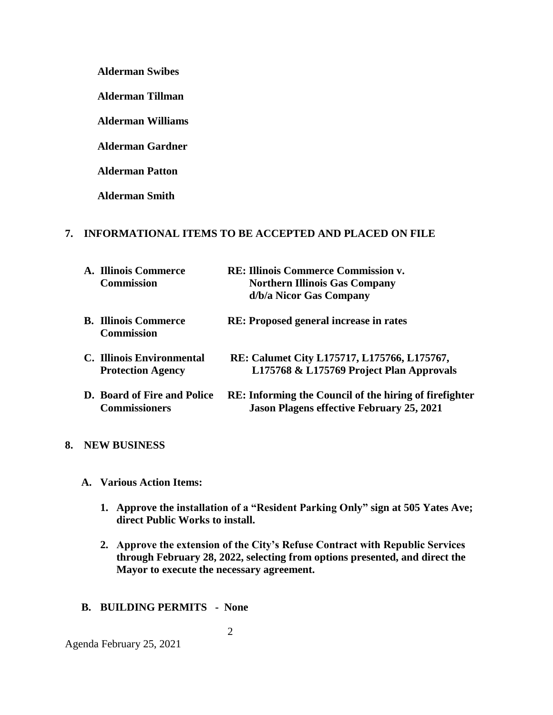**Alderman Swibes**

**Alderman Tillman**

**Alderman Williams**

**Alderman Gardner**

**Alderman Patton**

**Alderman Smith**

## **7. INFORMATIONAL ITEMS TO BE ACCEPTED AND PLACED ON FILE**

| A. Illinois Commerce<br><b>Commission</b>             | <b>RE: Illinois Commerce Commission v.</b><br><b>Northern Illinois Gas Company</b><br>d/b/a Nicor Gas Company     |
|-------------------------------------------------------|-------------------------------------------------------------------------------------------------------------------|
| <b>B. Illinois Commerce</b><br><b>Commission</b>      | <b>RE:</b> Proposed general increase in rates                                                                     |
| C. Illinois Environmental<br><b>Protection Agency</b> | RE: Calumet City L175717, L175766, L175767,<br>L175768 & L175769 Project Plan Approvals                           |
| D. Board of Fire and Police<br><b>Commissioners</b>   | <b>RE:</b> Informing the Council of the hiring of firefighter<br><b>Jason Plagens effective February 25, 2021</b> |

### **8. NEW BUSINESS**

- **A. Various Action Items:**
	- **1. Approve the installation of a "Resident Parking Only" sign at 505 Yates Ave; direct Public Works to install.**
	- **2. Approve the extension of the City's Refuse Contract with Republic Services through February 28, 2022, selecting from options presented, and direct the Mayor to execute the necessary agreement.**

## **B. BUILDING PERMITS - None**

Agenda February 25, 2021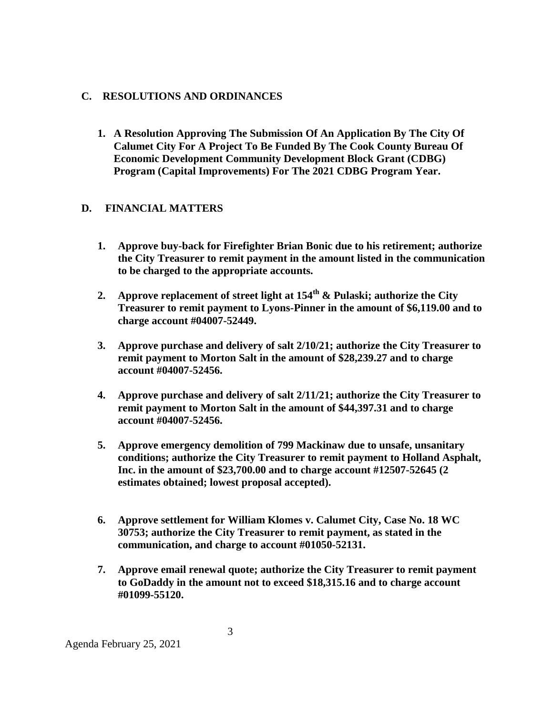## **C. RESOLUTIONS AND ORDINANCES**

**1. A Resolution Approving The Submission Of An Application By The City Of Calumet City For A Project To Be Funded By The Cook County Bureau Of Economic Development Community Development Block Grant (CDBG) Program (Capital Improvements) For The 2021 CDBG Program Year.**

# **D. FINANCIAL MATTERS**

- **1. Approve buy-back for Firefighter Brian Bonic due to his retirement; authorize the City Treasurer to remit payment in the amount listed in the communication to be charged to the appropriate accounts.**
- **2. Approve replacement of street light at 154th & Pulaski; authorize the City Treasurer to remit payment to Lyons-Pinner in the amount of \$6,119.00 and to charge account #04007-52449.**
- **3. Approve purchase and delivery of salt 2/10/21; authorize the City Treasurer to remit payment to Morton Salt in the amount of \$28,239.27 and to charge account #04007-52456.**
- **4. Approve purchase and delivery of salt 2/11/21; authorize the City Treasurer to remit payment to Morton Salt in the amount of \$44,397.31 and to charge account #04007-52456.**
- **5. Approve emergency demolition of 799 Mackinaw due to unsafe, unsanitary conditions; authorize the City Treasurer to remit payment to Holland Asphalt, Inc. in the amount of \$23,700.00 and to charge account #12507-52645 (2 estimates obtained; lowest proposal accepted).**
- **6. Approve settlement for William Klomes v. Calumet City, Case No. 18 WC 30753; authorize the City Treasurer to remit payment, as stated in the communication, and charge to account #01050-52131.**
- **7. Approve email renewal quote; authorize the City Treasurer to remit payment to GoDaddy in the amount not to exceed \$18,315.16 and to charge account #01099-55120.**

Agenda February 25, 2021